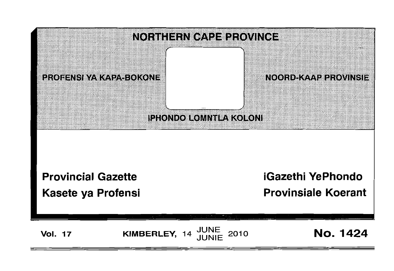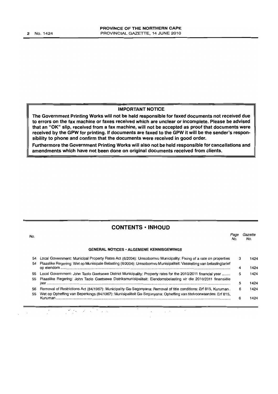#### **IMPORTANT NOTICE**

**The Government Printing Works will not be held responsible for faxed documents not received due to errors on the fax machine or faxes received which are unclear or incomplete. Please be advised that an** "OK" **slip, received from a fax machine, will not be accepted as proof that documents were received by the GPW for printing. If documents are faxed to the GPW it will be the sender's responsibility to phone and confirm that the documents were received in good order.** 

**Furthermore the Government Printing Works will also not be held responsible for cancellations and amendments which have not been done on original documents received from clients.** 

# **CONTENTS • INHOUD**

| No.      |                                                                                                                                                                                                                                        | Page<br>No. | Gazette<br>No. |
|----------|----------------------------------------------------------------------------------------------------------------------------------------------------------------------------------------------------------------------------------------|-------------|----------------|
|          | <b>GENERAL NOTICES • ALGEMENE KENNISGEWINGS</b>                                                                                                                                                                                        |             |                |
| 54<br>54 | Local Government: Municipal Property Rates Act (6/2004): Umsobomvu Municipality: Fixing of a rate on properties<br>Plaaslike Regering: Wet op Munisipale Belasting (6/2004): Umsobomvu Munisipaliteit: Vasstelling van belastingtarief | з           | 1424           |
|          |                                                                                                                                                                                                                                        | 4           | 1424           |
| 55<br>55 | Local Government: John Taolo Gaetsewe District Municipality: Property rates for the 2010/2011 financial year<br>Plaaslike Regering: John Taolo Gaetsewe Distriksmunisipaliteit: Eiendomsbelasting vir die 2010/2011 finansiële         | 5           | 1424           |
|          |                                                                                                                                                                                                                                        | 5           | 1424           |
| 56<br>55 | Removal of Restrictions Act (84/1967): Municipality Ga-Segonyana: Removal of title conditions: Erf 815, Kuruman.<br>Wet op Opheffing van Beperkings (84/1967): Munisipaliteit Ga-Segonyana: Opheffing van titelvoorwaardes: Erf 815,   | 6           | 1424           |
|          | Kuruman                                                                                                                                                                                                                                | 6           | 1424           |

 $\mathbf{r}^{\prime} \rightarrow \mathbf{r}$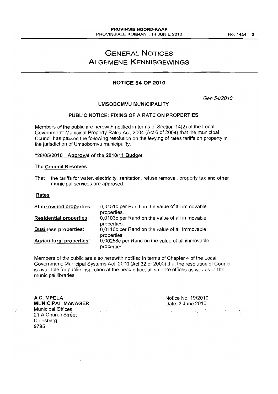# GENERAL NOTICES ALGEMENE KENNISGEWINGS

# NOTICE 54 OF 2010

Gen 5412010

## UMSOBOMVU MUNICIPALITY

## PUBLIC NOTICE: FIXING OF A RATE ON PROPERTIES

Members of the public are herewith notified in terms of Section 14(2) of the Local Government: Municipal Property Rates Act, 2004 (Act 6 of 2004) that the municipal Council has passed the following resolution on the levying of rates tariffs on property in the jurisdiction of Umsobomvu municipality.

## "28/05/2010 Approval of the 2010/11 Budget

## The Council Resolves

That the tariffs for water, electricity, sanitation, refuse removal, property tax and other municipal services are approved.

## Rates

 $\sim$   $\sim$ 

| State owned properties:        | 0,0151c per Rand on the value of all immovable                |
|--------------------------------|---------------------------------------------------------------|
|                                | properties.                                                   |
| <b>Residential properties:</b> | 0,0103c per Rand on the value of all immovable<br>properties. |
| <b>Business properties:</b>    | 0,0116c per Rand on the value of all immovable<br>properties. |
| Agricultural properties"       | 0,00258c per Rand on the value of all immovable<br>properties |

Members of the public are also herewith notified in terms of Chapter 4 of the Local Government: Municipal Systems Act, 2000 (Act 32 of 2000) that the resolution of Council is available for public inspection at the head office, all satellite offices as well as at the municipal libraries.

A.C. MPELA Notice No. 19/2010. Date: 2 June 2010 MUNICIPAL MANAGER . Municipal Offices  $\mathcal{L}(\mathcal{L})$  and  $\mathcal{L}(\mathcal{L})$  . ..... ,. -:'  $\label{eq:2} \frac{1}{2} \sum_{i=1}^n \frac{1}{2} \sum_{i=1}^n \frac{1}{2} \sum_{i=1}^n \frac{1}{2} \sum_{i=1}^n \frac{1}{2} \sum_{i=1}^n \frac{1}{2} \sum_{i=1}^n \frac{1}{2} \sum_{i=1}^n \frac{1}{2} \sum_{i=1}^n \frac{1}{2} \sum_{i=1}^n \frac{1}{2} \sum_{i=1}^n \frac{1}{2} \sum_{i=1}^n \frac{1}{2} \sum_{i=1}^n \frac{1}{2} \sum_{i=1}^n \frac{1}{$ 21 A Church Street Colesberg 9795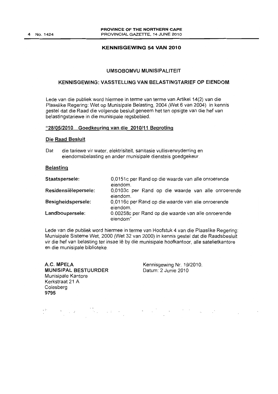## KENNISGEWING 54 VAN 2010

## UMSOBOMVU MUNISIPALITEIT

## KENNISGEWING: VASSTELLING VAN BELASTINGTARIEF OP EIENDOM

Lede van die publiek word hiermee in terme van terme van Artikel 14(2) van die Plaaslike Regering: Wet op Munisipale Belasting, 2004 (Wet 6 van 2004) in kennis gestel dat die Raad die volgende besluit geneem het ten opsigte van die hef van belastingstariewe in die munisipale regsbebied.

## "28/05/2010 Goedkeuring van die 2010/11 Begroting

#### Die Raad Besluit

Dat die tariewe vir water, elektrisiteit, sanitasie vullisverwyderring en eiendomsbelasting en ander munisipale diensteis goedgekeur.

## Belasting

| Staatspersele:       | 0,0151c per Rand op die waarde van alle onroerende<br>eiendom.  |
|----------------------|-----------------------------------------------------------------|
| Residensiëlepersele: | 0,0103c per Rand op die waarde van alle onroerende<br>eiendom.  |
| Besigheidspersele:   | 0,0116c per Rand op die waarde van alle onroerende<br>eiendom.  |
| Landboupersele:      | 0.00258c per Rand op die waarde van alle onroerende<br>eiendom" |

Lede van die publiek word hiermee in terme van Hoofstuk 4 van die Plaaslike Regering: Munisipale Sisteme Wet, 2000 (Wet 32 van 2000) in kennis gestel dat die Raadsbesluit vir die hef van belasting ter insae Ie by die munisipale hoofkantoor, aile satelietkantore en die munisipale biblioteke.

A.C. MPELA MUNISIPAL BESTUURDER Munisipale Kantore Kerkstraat 21 A Colesberg 9795

Kennisgewing Nr. 19/2010. Datum: 2 Junie 2010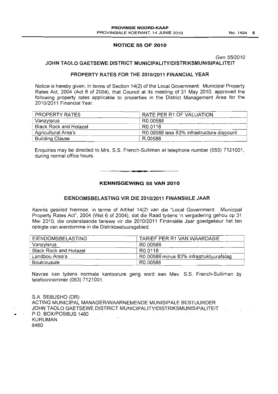## **NOTICE 55 OF 2010**

Gen 55/2010

## **JOHN TAOLO GAETSEWE DISTRICT MUNICIPALITY/DISTRIKSMUNISIPALITEIT**

## **PROPERTY RATES FOR THE 2010/2011 FINANCIAL YEAR**

Notice is hereby given, in terms of Section 14(2) of the Local Government: Municipal Property Rates Act, 2004 (Act 6 of 2004). that Council at its meeting of 31 May 2010. approved the following property rates applicable to properties in the District Management Area for the 2010/2011 Financial Year.

| <b>PROPERTY RATES</b>  | RATE PER R1 OF VALUATION                  |
|------------------------|-------------------------------------------|
| Vanzylsrus             | R0.00588                                  |
| Black Rock and Hotazel | R0.0118                                   |
| Agricultural Area's    | R0.00588 less 83% infrastructure discount |
| <b>Building Clause</b> | R.00588                                   |

Enquiries may be directed to Mrs. S.S. French-Sulliman at telephone number (053) 7121001, during normal office hours.

. **\_.** 

**KENNISGEWING 55 VAN 2010** 

## **EIENDOMSBELASTING VIR DIE 2010/2011 FINANSleLE JAAR**

Kennis geskied hiermee, in terme of Artikel 14(2) van die "Local Government: Municipal Property Rates Act", 2004 (Wet 6 of 2004), dat die Raad tydens 'n vergadering gehou op 31 Mei 2010, die onderstaande tariewe vir die 2010/2011 Finansiele Jaar goedgekeur het ten opsigte van eiendomme in die Distrikbestuursgebied.

| <b>EIENDOMSBELASTING</b>      | TARIEF PER R1 VAN WAARDASIE             |
|-------------------------------|-----------------------------------------|
| Vanzylsrus                    | R0.00588                                |
| <b>Black Rock and Hotazel</b> | R <sub>0.0118</sub>                     |
| Landbou Area's                | R0.00588 minus 83% infrastruktuurafslag |
| Bouklousule                   | R0.00588                                |

Navrae kan tydens normale kantoorure gerig word aan Mev. S.S. French-Sulliman by telefoonnommer (053) 7121001.

S.A. SEBUSHO (DR) ACTING MUNICIPAL MANAGER/WAARNEMENDE MUNISIPALE BESTUURDER JOHN TAOLO GAETSEWE DISTRICT MUNICIPALITY/DISTRIKSMUNISIPALITEIT<br>P.O. BOX/POSBUS 1480 KURUMAN 8460

...